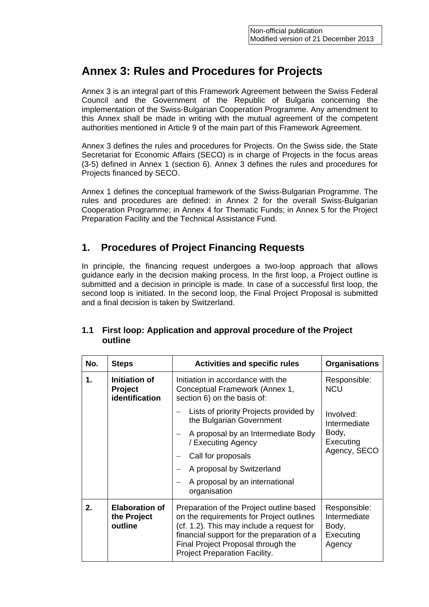# **Annex 3: Rules and Procedures for Projects**

Annex 3 is an integral part of this Framework Agreement between the Swiss Federal Council and the Government of the Republic of Bulgaria concerning the implementation of the Swiss-Bulgarian Cooperation Programme. Any amendment to this Annex shall be made in writing with the mutual agreement of the competent authorities mentioned in Article 9 of the main part of this Framework Agreement.

Annex 3 defines the rules and procedures for Projects. On the Swiss side, the State Secretariat for Economic Affairs (SECO) is in charge of Projects in the focus areas (3-5) defined in Annex 1 (section 6). Annex 3 defines the rules and procedures for Projects financed by SECO.

Annex 1 defines the conceptual framework of the Swiss-Bulgarian Programme. The rules and procedures are defined: in Annex 2 for the overall Swiss-Bulgarian Cooperation Programme; in Annex 4 for Thematic Funds; in Annex 5 for the Project Preparation Facility and the Technical Assistance Fund.

## **1. Procedures of Project Financing Requests**

In principle, the financing request undergoes a two-loop approach that allows guidance early in the decision making process. In the first loop, a Project outline is submitted and a decision in principle is made. In case of a successful first loop, the second loop is initiated. In the second loop, the Final Project Proposal is submitted and a final decision is taken by Switzerland.

| No. | <b>Steps</b>                                             | <b>Activities and specific rules</b>                                                                                                                                                                                                                   | <b>Organisations</b>                                         |
|-----|----------------------------------------------------------|--------------------------------------------------------------------------------------------------------------------------------------------------------------------------------------------------------------------------------------------------------|--------------------------------------------------------------|
| 1.  | Initiation of<br><b>Project</b><br><b>identification</b> | Initiation in accordance with the<br>Conceptual Framework (Annex 1,<br>section 6) on the basis of:                                                                                                                                                     | Responsible:<br><b>NCU</b>                                   |
|     |                                                          | Lists of priority Projects provided by<br>the Bulgarian Government                                                                                                                                                                                     | Involved:<br>Intermediate                                    |
|     |                                                          | A proposal by an Intermediate Body<br>/ Executing Agency                                                                                                                                                                                               | Body,<br>Executing                                           |
|     |                                                          | Call for proposals                                                                                                                                                                                                                                     | Agency, SECO                                                 |
|     |                                                          | A proposal by Switzerland                                                                                                                                                                                                                              |                                                              |
|     |                                                          | A proposal by an international<br>organisation                                                                                                                                                                                                         |                                                              |
| 2.  | <b>Elaboration of</b><br>the Project<br>outline          | Preparation of the Project outline based<br>on the requirements for Project outlines<br>(cf. 1.2). This may include a request for<br>financial support for the preparation of a<br>Final Project Proposal through the<br>Project Preparation Facility. | Responsible:<br>Intermediate<br>Body,<br>Executing<br>Agency |

#### **1.1 First loop: Application and approval procedure of the Project outline**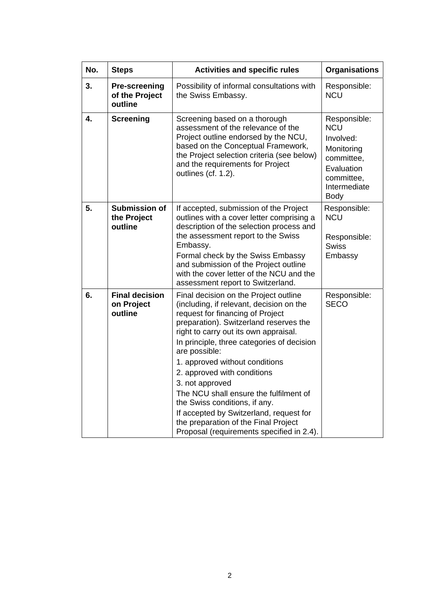| No. |                                                   |                                                                                                                                                                                                                                                                                                                                                                                                                                                                                                                                                                        |                                                                                                                                |
|-----|---------------------------------------------------|------------------------------------------------------------------------------------------------------------------------------------------------------------------------------------------------------------------------------------------------------------------------------------------------------------------------------------------------------------------------------------------------------------------------------------------------------------------------------------------------------------------------------------------------------------------------|--------------------------------------------------------------------------------------------------------------------------------|
|     | <b>Steps</b>                                      | <b>Activities and specific rules</b>                                                                                                                                                                                                                                                                                                                                                                                                                                                                                                                                   | <b>Organisations</b>                                                                                                           |
| 3.  | <b>Pre-screening</b><br>of the Project<br>outline | Possibility of informal consultations with<br>the Swiss Embassy.                                                                                                                                                                                                                                                                                                                                                                                                                                                                                                       | Responsible:<br><b>NCU</b>                                                                                                     |
| 4.  | <b>Screening</b>                                  | Screening based on a thorough<br>assessment of the relevance of the<br>Project outline endorsed by the NCU,<br>based on the Conceptual Framework,<br>the Project selection criteria (see below)<br>and the requirements for Project<br>outlines (cf. 1.2).                                                                                                                                                                                                                                                                                                             | Responsible:<br><b>NCU</b><br>Involved:<br>Monitoring<br>committee,<br>Evaluation<br>committee,<br>Intermediate<br><b>Body</b> |
| 5.  | <b>Submission of</b><br>the Project<br>outline    | If accepted, submission of the Project<br>outlines with a cover letter comprising a<br>description of the selection process and<br>the assessment report to the Swiss<br>Embassy.<br>Formal check by the Swiss Embassy<br>and submission of the Project outline<br>with the cover letter of the NCU and the<br>assessment report to Switzerland.                                                                                                                                                                                                                       | Responsible:<br><b>NCU</b><br>Responsible:<br><b>Swiss</b><br>Embassy                                                          |
| 6.  | <b>Final decision</b><br>on Project<br>outline    | Final decision on the Project outline<br>(including, if relevant, decision on the<br>request for financing of Project<br>preparation). Switzerland reserves the<br>right to carry out its own appraisal.<br>In principle, three categories of decision<br>are possible:<br>1. approved without conditions<br>2. approved with conditions<br>3. not approved<br>The NCU shall ensure the fulfilment of<br>the Swiss conditions, if any.<br>If accepted by Switzerland, request for<br>the preparation of the Final Project<br>Proposal (requirements specified in 2.4). | Responsible:<br><b>SECO</b>                                                                                                    |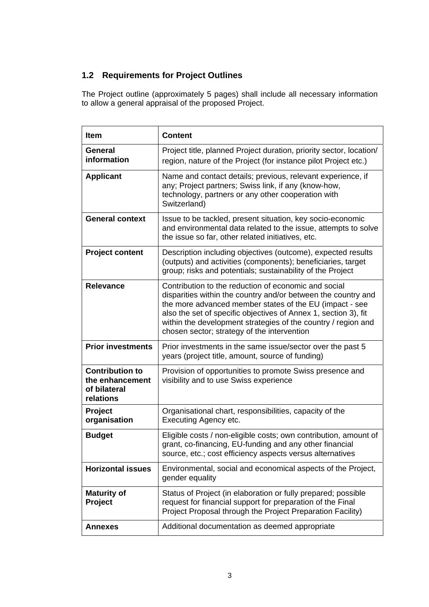## **1.2 Requirements for Project Outlines**

The Project outline (approximately 5 pages) shall include all necessary information to allow a general appraisal of the proposed Project.

| <b>Item</b>                                                                                                                                                                                                                       | <b>Content</b>                                                                                                                                                                                                                                                                                                                                                      |
|-----------------------------------------------------------------------------------------------------------------------------------------------------------------------------------------------------------------------------------|---------------------------------------------------------------------------------------------------------------------------------------------------------------------------------------------------------------------------------------------------------------------------------------------------------------------------------------------------------------------|
| <b>General</b><br>information                                                                                                                                                                                                     | Project title, planned Project duration, priority sector, location/<br>region, nature of the Project (for instance pilot Project etc.)                                                                                                                                                                                                                              |
| <b>Applicant</b>                                                                                                                                                                                                                  | Name and contact details; previous, relevant experience, if<br>any; Project partners; Swiss link, if any (know-how,<br>technology, partners or any other cooperation with<br>Switzerland)                                                                                                                                                                           |
| <b>General context</b><br>Issue to be tackled, present situation, key socio-economic<br>and environmental data related to the issue, attempts to solve<br>the issue so far, other related initiatives, etc.                       |                                                                                                                                                                                                                                                                                                                                                                     |
| <b>Project content</b>                                                                                                                                                                                                            | Description including objectives (outcome), expected results<br>(outputs) and activities (components); beneficiaries, target<br>group; risks and potentials; sustainability of the Project                                                                                                                                                                          |
| <b>Relevance</b>                                                                                                                                                                                                                  | Contribution to the reduction of economic and social<br>disparities within the country and/or between the country and<br>the more advanced member states of the EU (impact - see<br>also the set of specific objectives of Annex 1, section 3), fit<br>within the development strategies of the country / region and<br>chosen sector; strategy of the intervention |
| <b>Prior investments</b><br>Prior investments in the same issue/sector over the past 5<br>years (project title, amount, source of funding)                                                                                        |                                                                                                                                                                                                                                                                                                                                                                     |
| <b>Contribution to</b><br>the enhancement<br>of bilateral<br>relations                                                                                                                                                            | Provision of opportunities to promote Swiss presence and<br>visibility and to use Swiss experience                                                                                                                                                                                                                                                                  |
| Project<br>organisation                                                                                                                                                                                                           | Organisational chart, responsibilities, capacity of the<br>Executing Agency etc.                                                                                                                                                                                                                                                                                    |
| <b>Budget</b>                                                                                                                                                                                                                     | Eligible costs / non-eligible costs; own contribution, amount of<br>grant, co-financing, EU-funding and any other financial<br>source, etc.; cost efficiency aspects versus alternatives                                                                                                                                                                            |
| <b>Horizontal issues</b><br>Environmental, social and economical aspects of the Project,<br>gender equality                                                                                                                       |                                                                                                                                                                                                                                                                                                                                                                     |
| Status of Project (in elaboration or fully prepared; possible<br><b>Maturity of</b><br>request for financial support for preparation of the Final<br><b>Project</b><br>Project Proposal through the Project Preparation Facility) |                                                                                                                                                                                                                                                                                                                                                                     |
| <b>Annexes</b>                                                                                                                                                                                                                    | Additional documentation as deemed appropriate                                                                                                                                                                                                                                                                                                                      |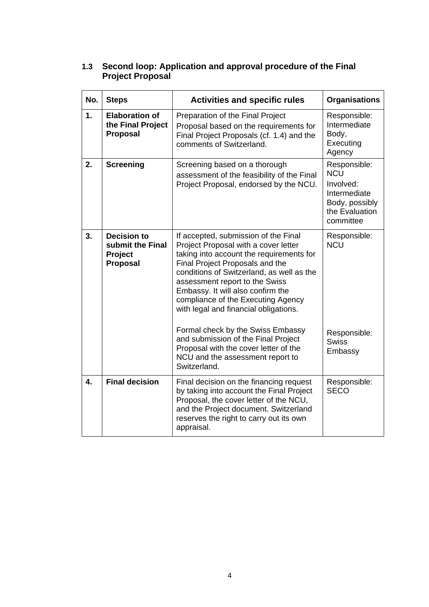| 1.3 | Second loop: Application and approval procedure of the Final |
|-----|--------------------------------------------------------------|
|     | <b>Project Proposal</b>                                      |

| No.              | <b>Steps</b>                                                         | <b>Activities and specific rules</b>                                                                                                                                                                                                                                                                                                                           | <b>Organisations</b>                                                                                     |
|------------------|----------------------------------------------------------------------|----------------------------------------------------------------------------------------------------------------------------------------------------------------------------------------------------------------------------------------------------------------------------------------------------------------------------------------------------------------|----------------------------------------------------------------------------------------------------------|
| $\mathbf{1}$ .   | <b>Elaboration of</b><br>the Final Project<br><b>Proposal</b>        | Preparation of the Final Project<br>Proposal based on the requirements for<br>Final Project Proposals (cf. 1.4) and the<br>comments of Switzerland.                                                                                                                                                                                                            | Responsible:<br>Intermediate<br>Body,<br>Executing<br>Agency                                             |
| 2.               | <b>Screening</b>                                                     | Screening based on a thorough<br>assessment of the feasibility of the Final<br>Project Proposal, endorsed by the NCU.                                                                                                                                                                                                                                          | Responsible:<br><b>NCU</b><br>Involved:<br>Intermediate<br>Body, possibly<br>the Evaluation<br>committee |
| 3.               | <b>Decision to</b><br>submit the Final<br>Project<br><b>Proposal</b> | If accepted, submission of the Final<br>Project Proposal with a cover letter<br>taking into account the requirements for<br>Final Project Proposals and the<br>conditions of Switzerland, as well as the<br>assessment report to the Swiss<br>Embassy. It will also confirm the<br>compliance of the Executing Agency<br>with legal and financial obligations. | Responsible:<br><b>NCU</b>                                                                               |
|                  |                                                                      | Formal check by the Swiss Embassy<br>and submission of the Final Project<br>Proposal with the cover letter of the<br>NCU and the assessment report to<br>Switzerland.                                                                                                                                                                                          | Responsible:<br><b>Swiss</b><br>Embassy                                                                  |
| $\overline{4}$ . | <b>Final decision</b>                                                | Final decision on the financing request<br>by taking into account the Final Project<br>Proposal, the cover letter of the NCU,<br>and the Project document. Switzerland<br>reserves the right to carry out its own<br>appraisal.                                                                                                                                | Responsible:<br><b>SECO</b>                                                                              |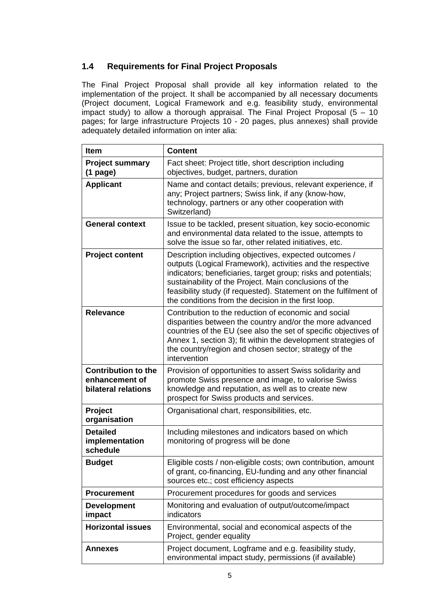## **1.4 Requirements for Final Project Proposals**

The Final Project Proposal shall provide all key information related to the implementation of the project. It shall be accompanied by all necessary documents (Project document, Logical Framework and e.g. feasibility study, environmental impact study) to allow a thorough appraisal. The Final Project Proposal  $(5 - 10)$ pages; for large infrastructure Projects 10 - 20 pages, plus annexes) shall provide adequately detailed information on inter alia:

| <b>Content</b><br><b>Item</b>                                       |                                                                                                                                                                                                                                                                                                                                                                            |  |
|---------------------------------------------------------------------|----------------------------------------------------------------------------------------------------------------------------------------------------------------------------------------------------------------------------------------------------------------------------------------------------------------------------------------------------------------------------|--|
| <b>Project summary</b><br>$(1$ page)                                | Fact sheet: Project title, short description including<br>objectives, budget, partners, duration                                                                                                                                                                                                                                                                           |  |
| <b>Applicant</b>                                                    | Name and contact details; previous, relevant experience, if<br>any; Project partners; Swiss link, if any (know-how,<br>technology, partners or any other cooperation with<br>Switzerland)                                                                                                                                                                                  |  |
| <b>General context</b>                                              | Issue to be tackled, present situation, key socio-economic<br>and environmental data related to the issue, attempts to<br>solve the issue so far, other related initiatives, etc.                                                                                                                                                                                          |  |
| <b>Project content</b>                                              | Description including objectives, expected outcomes /<br>outputs (Logical Framework), activities and the respective<br>indicators; beneficiaries, target group; risks and potentials;<br>sustainability of the Project. Main conclusions of the<br>feasibility study (if requested). Statement on the fulfilment of<br>the conditions from the decision in the first loop. |  |
| <b>Relevance</b>                                                    | Contribution to the reduction of economic and social<br>disparities between the country and/or the more advanced<br>countries of the EU (see also the set of specific objectives of<br>Annex 1, section 3); fit within the development strategies of<br>the country/region and chosen sector; strategy of the<br>intervention                                              |  |
| <b>Contribution to the</b><br>enhancement of<br>bilateral relations | Provision of opportunities to assert Swiss solidarity and<br>promote Swiss presence and image, to valorise Swiss<br>knowledge and reputation, as well as to create new<br>prospect for Swiss products and services.                                                                                                                                                        |  |
| Project<br>organisation                                             | Organisational chart, responsibilities, etc.                                                                                                                                                                                                                                                                                                                               |  |
| <b>Detailed</b><br>implementation<br>schedule                       | Including milestones and indicators based on which<br>monitoring of progress will be done                                                                                                                                                                                                                                                                                  |  |
| <b>Budget</b>                                                       | Eligible costs / non-eligible costs; own contribution, amount<br>of grant, co-financing, EU-funding and any other financial<br>sources etc.; cost efficiency aspects                                                                                                                                                                                                       |  |
| Procurement procedures for goods and services<br><b>Procurement</b> |                                                                                                                                                                                                                                                                                                                                                                            |  |
| <b>Development</b><br>impact                                        | Monitoring and evaluation of output/outcome/impact<br>indicators                                                                                                                                                                                                                                                                                                           |  |
| <b>Horizontal issues</b>                                            | Environmental, social and economical aspects of the<br>Project, gender equality                                                                                                                                                                                                                                                                                            |  |
| <b>Annexes</b>                                                      | Project document, Logframe and e.g. feasibility study,<br>environmental impact study, permissions (if available)                                                                                                                                                                                                                                                           |  |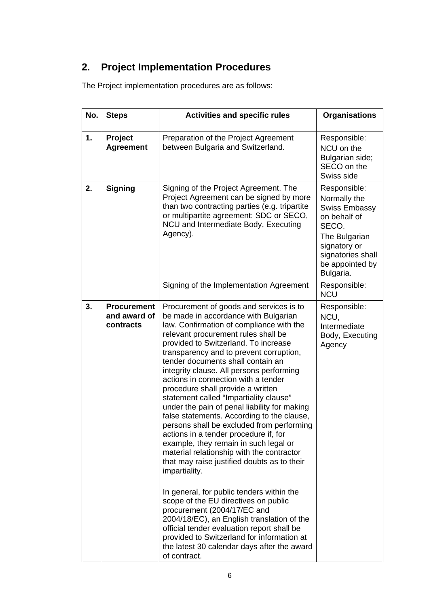# **2. Project Implementation Procedures**

The Project implementation procedures are as follows:

| No. | <b>Steps</b>                                    | <b>Activities and specific rules</b>                                                                                                                                                                                                                                                                                                                                                                                                                                                                                                                                                                                                                                                                                                                                                                                                                                                                                                                                                                                                                                                                                                | <b>Organisations</b>                                                                                                                                                |
|-----|-------------------------------------------------|-------------------------------------------------------------------------------------------------------------------------------------------------------------------------------------------------------------------------------------------------------------------------------------------------------------------------------------------------------------------------------------------------------------------------------------------------------------------------------------------------------------------------------------------------------------------------------------------------------------------------------------------------------------------------------------------------------------------------------------------------------------------------------------------------------------------------------------------------------------------------------------------------------------------------------------------------------------------------------------------------------------------------------------------------------------------------------------------------------------------------------------|---------------------------------------------------------------------------------------------------------------------------------------------------------------------|
| 1.  | Project<br><b>Agreement</b>                     | Preparation of the Project Agreement<br>between Bulgaria and Switzerland.                                                                                                                                                                                                                                                                                                                                                                                                                                                                                                                                                                                                                                                                                                                                                                                                                                                                                                                                                                                                                                                           | Responsible:<br>NCU on the<br>Bulgarian side;<br>SECO on the<br>Swiss side                                                                                          |
| 2.  | <b>Signing</b>                                  | Signing of the Project Agreement. The<br>Project Agreement can be signed by more<br>than two contracting parties (e.g. tripartite<br>or multipartite agreement: SDC or SECO,<br>NCU and Intermediate Body, Executing<br>Agency).                                                                                                                                                                                                                                                                                                                                                                                                                                                                                                                                                                                                                                                                                                                                                                                                                                                                                                    | Responsible:<br>Normally the<br><b>Swiss Embassy</b><br>on behalf of<br>SECO.<br>The Bulgarian<br>signatory or<br>signatories shall<br>be appointed by<br>Bulgaria. |
|     |                                                 | Signing of the Implementation Agreement                                                                                                                                                                                                                                                                                                                                                                                                                                                                                                                                                                                                                                                                                                                                                                                                                                                                                                                                                                                                                                                                                             | Responsible:<br><b>NCU</b>                                                                                                                                          |
| 3.  | <b>Procurement</b><br>and award of<br>contracts | Procurement of goods and services is to<br>be made in accordance with Bulgarian<br>law. Confirmation of compliance with the<br>relevant procurement rules shall be<br>provided to Switzerland. To increase<br>transparency and to prevent corruption,<br>tender documents shall contain an<br>integrity clause. All persons performing<br>actions in connection with a tender<br>procedure shall provide a written<br>statement called "Impartiality clause"<br>under the pain of penal liability for making<br>false statements. According to the clause,<br>persons shall be excluded from performing<br>actions in a tender procedure if, for<br>example, they remain in such legal or<br>material relationship with the contractor<br>that may raise justified doubts as to their<br>impartiality.<br>In general, for public tenders within the<br>scope of the EU directives on public<br>procurement (2004/17/EC and<br>2004/18/EC), an English translation of the<br>official tender evaluation report shall be<br>provided to Switzerland for information at<br>the latest 30 calendar days after the award<br>of contract. | Responsible:<br>NCU,<br>Intermediate<br>Body, Executing<br>Agency                                                                                                   |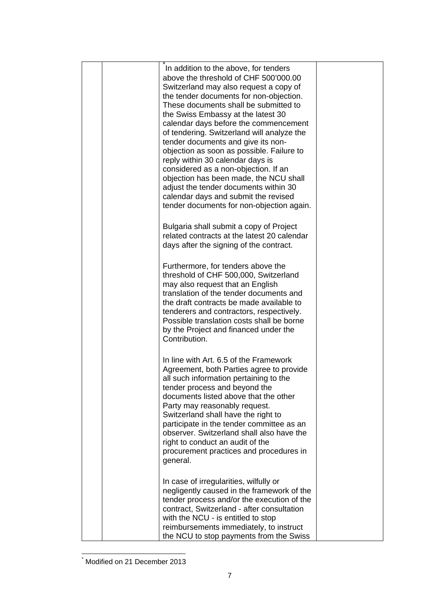|  | In addition to the above, for tenders<br>above the threshold of CHF 500'000.00<br>Switzerland may also request a copy of<br>the tender documents for non-objection.<br>These documents shall be submitted to<br>the Swiss Embassy at the latest 30<br>calendar days before the commencement<br>of tendering. Switzerland will analyze the<br>tender documents and give its non-<br>objection as soon as possible. Failure to<br>reply within 30 calendar days is<br>considered as a non-objection. If an<br>objection has been made, the NCU shall<br>adjust the tender documents within 30<br>calendar days and submit the revised<br>tender documents for non-objection again. |  |
|--|----------------------------------------------------------------------------------------------------------------------------------------------------------------------------------------------------------------------------------------------------------------------------------------------------------------------------------------------------------------------------------------------------------------------------------------------------------------------------------------------------------------------------------------------------------------------------------------------------------------------------------------------------------------------------------|--|
|  | Bulgaria shall submit a copy of Project<br>related contracts at the latest 20 calendar<br>days after the signing of the contract.                                                                                                                                                                                                                                                                                                                                                                                                                                                                                                                                                |  |
|  | Furthermore, for tenders above the<br>threshold of CHF 500,000, Switzerland<br>may also request that an English<br>translation of the tender documents and<br>the draft contracts be made available to<br>tenderers and contractors, respectively.<br>Possible translation costs shall be borne<br>by the Project and financed under the<br>Contribution.                                                                                                                                                                                                                                                                                                                        |  |
|  | In line with Art. 6.5 of the Framework<br>Agreement, both Parties agree to provide<br>all such information pertaining to the<br>tender process and beyond the<br>documents listed above that the other<br>Party may reasonably request.<br>Switzerland shall have the right to<br>participate in the tender committee as an<br>observer. Switzerland shall also have the<br>right to conduct an audit of the<br>procurement practices and procedures in<br>general.                                                                                                                                                                                                              |  |
|  | In case of irregularities, wilfully or<br>negligently caused in the framework of the<br>tender process and/or the execution of the<br>contract, Switzerland - after consultation<br>with the NCU - is entitled to stop<br>reimbursements immediately, to instruct<br>the NCU to stop payments from the Swiss                                                                                                                                                                                                                                                                                                                                                                     |  |

 \* Modified on 21 December 2013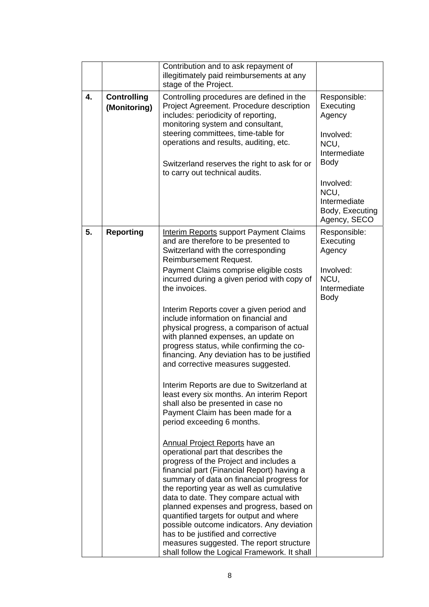|    |                                    | Contribution and to ask repayment of<br>illegitimately paid reimbursements at any<br>stage of the Project.                                                                                                                                                                                                                                                                                                                                                                                                                                                                                                                                                                                                                                                                                                                                                                                                                                                                                                                                                                                                                                                                                                                                                                                                                                                            |                                                                                                                                                          |
|----|------------------------------------|-----------------------------------------------------------------------------------------------------------------------------------------------------------------------------------------------------------------------------------------------------------------------------------------------------------------------------------------------------------------------------------------------------------------------------------------------------------------------------------------------------------------------------------------------------------------------------------------------------------------------------------------------------------------------------------------------------------------------------------------------------------------------------------------------------------------------------------------------------------------------------------------------------------------------------------------------------------------------------------------------------------------------------------------------------------------------------------------------------------------------------------------------------------------------------------------------------------------------------------------------------------------------------------------------------------------------------------------------------------------------|----------------------------------------------------------------------------------------------------------------------------------------------------------|
| 4. | <b>Controlling</b><br>(Monitoring) | Controlling procedures are defined in the<br>Project Agreement. Procedure description<br>includes: periodicity of reporting,<br>monitoring system and consultant,<br>steering committees, time-table for<br>operations and results, auditing, etc.<br>Switzerland reserves the right to ask for or<br>to carry out technical audits.                                                                                                                                                                                                                                                                                                                                                                                                                                                                                                                                                                                                                                                                                                                                                                                                                                                                                                                                                                                                                                  | Responsible:<br>Executing<br>Agency<br>Involved:<br>NCU.<br>Intermediate<br>Body<br>Involved:<br>NCU,<br>Intermediate<br>Body, Executing<br>Agency, SECO |
| 5. | <b>Reporting</b>                   | <b>Interim Reports support Payment Claims</b><br>and are therefore to be presented to<br>Switzerland with the corresponding<br><b>Reimbursement Request.</b><br>Payment Claims comprise eligible costs<br>incurred during a given period with copy of<br>the invoices.<br>Interim Reports cover a given period and<br>include information on financial and<br>physical progress, a comparison of actual<br>with planned expenses, an update on<br>progress status, while confirming the co-<br>financing. Any deviation has to be justified<br>and corrective measures suggested.<br>Interim Reports are due to Switzerland at<br>least every six months. An interim Report<br>shall also be presented in case no<br>Payment Claim has been made for a<br>period exceeding 6 months.<br><b>Annual Project Reports have an</b><br>operational part that describes the<br>progress of the Project and includes a<br>financial part (Financial Report) having a<br>summary of data on financial progress for<br>the reporting year as well as cumulative<br>data to date. They compare actual with<br>planned expenses and progress, based on<br>quantified targets for output and where<br>possible outcome indicators. Any deviation<br>has to be justified and corrective<br>measures suggested. The report structure<br>shall follow the Logical Framework. It shall | Responsible:<br>Executing<br>Agency<br>Involved:<br>NCU,<br>Intermediate<br>Body                                                                         |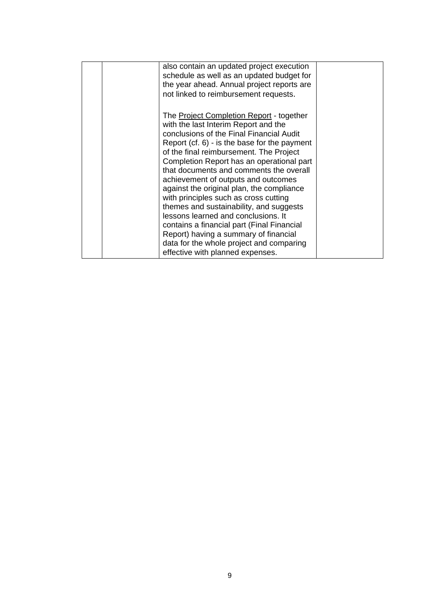| also contain an updated project execution<br>schedule as well as an updated budget for<br>the year ahead. Annual project reports are<br>not linked to reimbursement requests.                                                                                                                                                                                                                                                                                                                                                                                                                                                                                                                                  |  |
|----------------------------------------------------------------------------------------------------------------------------------------------------------------------------------------------------------------------------------------------------------------------------------------------------------------------------------------------------------------------------------------------------------------------------------------------------------------------------------------------------------------------------------------------------------------------------------------------------------------------------------------------------------------------------------------------------------------|--|
| The <b>Project Completion Report</b> - together<br>with the last Interim Report and the<br>conclusions of the Final Financial Audit<br>Report $(cf. 6)$ - is the base for the payment<br>of the final reimbursement. The Project<br>Completion Report has an operational part<br>that documents and comments the overall<br>achievement of outputs and outcomes<br>against the original plan, the compliance<br>with principles such as cross cutting<br>themes and sustainability, and suggests<br>lessons learned and conclusions. It<br>contains a financial part (Final Financial<br>Report) having a summary of financial<br>data for the whole project and comparing<br>effective with planned expenses. |  |
|                                                                                                                                                                                                                                                                                                                                                                                                                                                                                                                                                                                                                                                                                                                |  |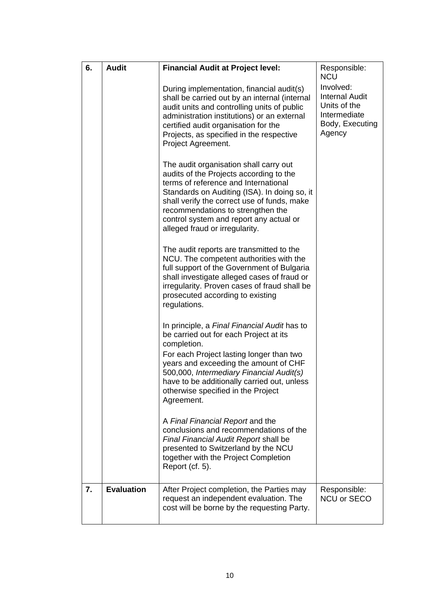| 6. | <b>Audit</b>      | <b>Financial Audit at Project level:</b>                                                                                                                                                                                                                                                                                                   | Responsible:<br><b>NCU</b>                                                                      |
|----|-------------------|--------------------------------------------------------------------------------------------------------------------------------------------------------------------------------------------------------------------------------------------------------------------------------------------------------------------------------------------|-------------------------------------------------------------------------------------------------|
|    |                   | During implementation, financial audit(s)<br>shall be carried out by an internal (internal<br>audit units and controlling units of public<br>administration institutions) or an external<br>certified audit organisation for the<br>Projects, as specified in the respective<br>Project Agreement.                                         | Involved:<br><b>Internal Audit</b><br>Units of the<br>Intermediate<br>Body, Executing<br>Agency |
|    |                   | The audit organisation shall carry out<br>audits of the Projects according to the<br>terms of reference and International<br>Standards on Auditing (ISA). In doing so, it<br>shall verify the correct use of funds, make<br>recommendations to strengthen the<br>control system and report any actual or<br>alleged fraud or irregularity. |                                                                                                 |
|    |                   | The audit reports are transmitted to the<br>NCU. The competent authorities with the<br>full support of the Government of Bulgaria<br>shall investigate alleged cases of fraud or<br>irregularity. Proven cases of fraud shall be<br>prosecuted according to existing<br>regulations.                                                       |                                                                                                 |
|    |                   | In principle, a Final Financial Audit has to<br>be carried out for each Project at its<br>completion.<br>For each Project lasting longer than two<br>years and exceeding the amount of CHF<br>500,000, Intermediary Financial Audit(s)<br>have to be additionally carried out, unless<br>otherwise specified in the Project<br>Agreement.  |                                                                                                 |
|    |                   | A Final Financial Report and the<br>conclusions and recommendations of the<br>Final Financial Audit Report shall be<br>presented to Switzerland by the NCU<br>together with the Project Completion<br>Report (cf. 5).                                                                                                                      |                                                                                                 |
| 7. | <b>Evaluation</b> | After Project completion, the Parties may<br>request an independent evaluation. The<br>cost will be borne by the requesting Party.                                                                                                                                                                                                         | Responsible:<br>NCU or SECO                                                                     |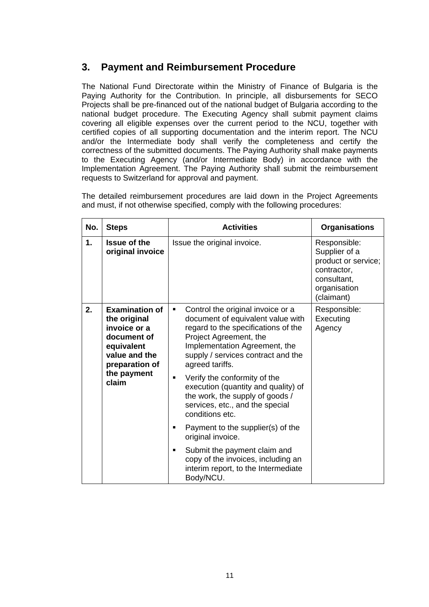## **3. Payment and Reimbursement Procedure**

The National Fund Directorate within the Ministry of Finance of Bulgaria is the Paying Authority for the Contribution. In principle, all disbursements for SECO Projects shall be pre-financed out of the national budget of Bulgaria according to the national budget procedure. The Executing Agency shall submit payment claims covering all eligible expenses over the current period to the NCU, together with certified copies of all supporting documentation and the interim report. The NCU and/or the Intermediate body shall verify the completeness and certify the correctness of the submitted documents. The Paying Authority shall make payments to the Executing Agency (and/or Intermediate Body) in accordance with the Implementation Agreement. The Paying Authority shall submit the reimbursement requests to Switzerland for approval and payment.

The detailed reimbursement procedures are laid down in the Project Agreements and must, if not otherwise specified, comply with the following procedures:

| No. | <b>Steps</b>                                                                                                                                  | <b>Activities</b>                                                                                                                                                                                                                      | <b>Organisations</b>                                                                                             |
|-----|-----------------------------------------------------------------------------------------------------------------------------------------------|----------------------------------------------------------------------------------------------------------------------------------------------------------------------------------------------------------------------------------------|------------------------------------------------------------------------------------------------------------------|
| 1.  | <b>Issue of the</b><br>original invoice                                                                                                       | Issue the original invoice.                                                                                                                                                                                                            | Responsible:<br>Supplier of a<br>product or service;<br>contractor,<br>consultant,<br>organisation<br>(claimant) |
| 2.  | <b>Examination of</b><br>the original<br>invoice or a<br>document of<br>equivalent<br>value and the<br>preparation of<br>the payment<br>claim | Control the original invoice or a<br>٠<br>document of equivalent value with<br>regard to the specifications of the<br>Project Agreement, the<br>Implementation Agreement, the<br>supply / services contract and the<br>agreed tariffs. | Responsible:<br>Executing<br>Agency                                                                              |
|     |                                                                                                                                               | Verify the conformity of the<br>п<br>execution (quantity and quality) of<br>the work, the supply of goods /<br>services, etc., and the special<br>conditions etc.                                                                      |                                                                                                                  |
|     |                                                                                                                                               | Payment to the supplier(s) of the<br>■<br>original invoice.                                                                                                                                                                            |                                                                                                                  |
|     |                                                                                                                                               | Submit the payment claim and<br>$\blacksquare$<br>copy of the invoices, including an<br>interim report, to the Intermediate<br>Body/NCU.                                                                                               |                                                                                                                  |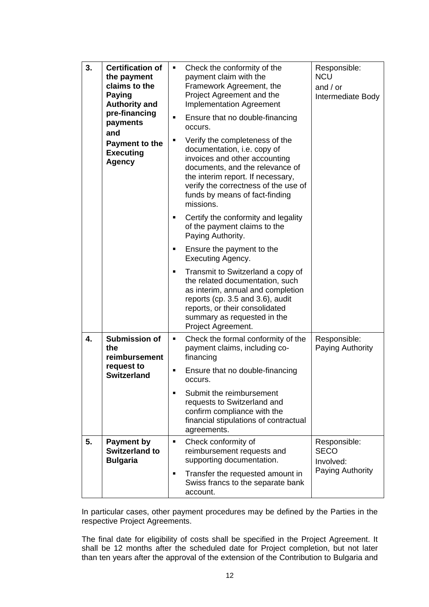| 3. | <b>Certification of</b><br>the payment<br>claims to the<br><b>Paying</b><br><b>Authority and</b><br>pre-financing<br>payments<br>and | ٠<br>$\blacksquare$ | Check the conformity of the<br>payment claim with the<br>Framework Agreement, the<br>Project Agreement and the<br><b>Implementation Agreement</b><br>Ensure that no double-financing<br>occurs.                                                               | Responsible:<br><b>NCU</b><br>and $/$ or<br>Intermediate Body |
|----|--------------------------------------------------------------------------------------------------------------------------------------|---------------------|---------------------------------------------------------------------------------------------------------------------------------------------------------------------------------------------------------------------------------------------------------------|---------------------------------------------------------------|
|    | Payment to the<br><b>Executing</b><br><b>Agency</b>                                                                                  | П                   | Verify the completeness of the<br>documentation, i.e. copy of<br>invoices and other accounting<br>documents, and the relevance of<br>the interim report. If necessary,<br>verify the correctness of the use of<br>funds by means of fact-finding<br>missions. |                                                               |
|    |                                                                                                                                      | ٠                   | Certify the conformity and legality<br>of the payment claims to the<br>Paying Authority.                                                                                                                                                                      |                                                               |
|    |                                                                                                                                      | п                   | Ensure the payment to the<br>Executing Agency.                                                                                                                                                                                                                |                                                               |
|    |                                                                                                                                      |                     | Transmit to Switzerland a copy of<br>the related documentation, such<br>as interim, annual and completion<br>reports (cp. 3.5 and 3.6), audit<br>reports, or their consolidated<br>summary as requested in the<br>Project Agreement.                          |                                                               |
| 4. | <b>Submission of</b><br>the<br>reimbursement<br>request to<br><b>Switzerland</b>                                                     | ٠                   | Check the formal conformity of the<br>payment claims, including co-<br>financing                                                                                                                                                                              | Responsible:<br>Paying Authority                              |
|    |                                                                                                                                      |                     | Ensure that no double-financing<br>occurs.                                                                                                                                                                                                                    |                                                               |
|    |                                                                                                                                      |                     | Submit the reimbursement<br>requests to Switzerland and<br>confirm compliance with the<br>financial stipulations of contractual<br>agreements.                                                                                                                |                                                               |
| 5. | <b>Payment by</b><br><b>Switzerland to</b><br><b>Bulgaria</b>                                                                        | ٠                   | Check conformity of<br>reimbursement requests and<br>supporting documentation.                                                                                                                                                                                | Responsible:<br><b>SECO</b><br>Involved:<br>Paying Authority  |
|    |                                                                                                                                      | ٠                   | Transfer the requested amount in<br>Swiss francs to the separate bank<br>account.                                                                                                                                                                             |                                                               |

In particular cases, other payment procedures may be defined by the Parties in the respective Project Agreements.

The final date for eligibility of costs shall be specified in the Project Agreement. It shall be 12 months after the scheduled date for Project completion, but not later than ten years after the approval of the extension of the Contribution to Bulgaria and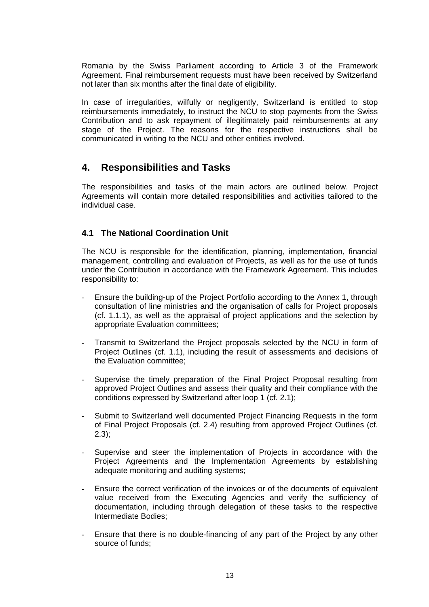Romania by the Swiss Parliament according to Article 3 of the Framework Agreement. Final reimbursement requests must have been received by Switzerland not later than six months after the final date of eligibility.

In case of irregularities, wilfully or negligently, Switzerland is entitled to stop reimbursements immediately, to instruct the NCU to stop payments from the Swiss Contribution and to ask repayment of illegitimately paid reimbursements at any stage of the Project. The reasons for the respective instructions shall be communicated in writing to the NCU and other entities involved.

## **4. Responsibilities and Tasks**

The responsibilities and tasks of the main actors are outlined below. Project Agreements will contain more detailed responsibilities and activities tailored to the individual case.

### **4.1 The National Coordination Unit**

The NCU is responsible for the identification, planning, implementation, financial management, controlling and evaluation of Projects, as well as for the use of funds under the Contribution in accordance with the Framework Agreement. This includes responsibility to:

- Ensure the building-up of the Project Portfolio according to the Annex 1, through consultation of line ministries and the organisation of calls for Project proposals (cf. 1.1.1), as well as the appraisal of project applications and the selection by appropriate Evaluation committees;
- Transmit to Switzerland the Project proposals selected by the NCU in form of Project Outlines (cf. 1.1), including the result of assessments and decisions of the Evaluation committee;
- Supervise the timely preparation of the Final Project Proposal resulting from approved Project Outlines and assess their quality and their compliance with the conditions expressed by Switzerland after loop 1 (cf. 2.1);
- Submit to Switzerland well documented Project Financing Requests in the form of Final Project Proposals (cf. 2.4) resulting from approved Project Outlines (cf. 2.3);
- Supervise and steer the implementation of Projects in accordance with the Project Agreements and the Implementation Agreements by establishing adequate monitoring and auditing systems;
- Ensure the correct verification of the invoices or of the documents of equivalent value received from the Executing Agencies and verify the sufficiency of documentation, including through delegation of these tasks to the respective Intermediate Bodies;
- Ensure that there is no double-financing of any part of the Project by any other source of funds;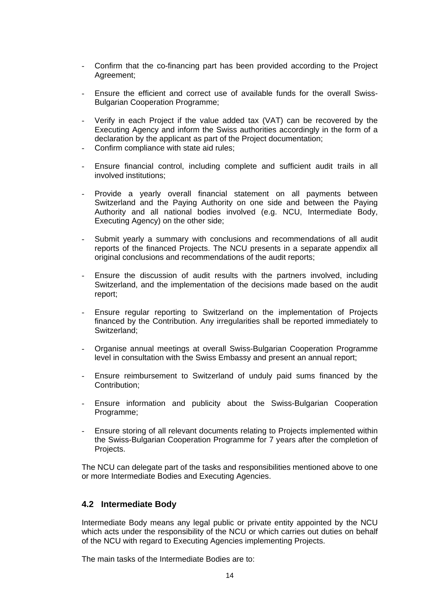- Confirm that the co-financing part has been provided according to the Project Agreement;
- Ensure the efficient and correct use of available funds for the overall Swiss-Bulgarian Cooperation Programme;
- Verify in each Project if the value added tax (VAT) can be recovered by the Executing Agency and inform the Swiss authorities accordingly in the form of a declaration by the applicant as part of the Project documentation;
- Confirm compliance with state aid rules:
- Ensure financial control, including complete and sufficient audit trails in all involved institutions;
- Provide a yearly overall financial statement on all payments between Switzerland and the Paying Authority on one side and between the Paying Authority and all national bodies involved (e.g. NCU, Intermediate Body, Executing Agency) on the other side;
- Submit yearly a summary with conclusions and recommendations of all audit reports of the financed Projects. The NCU presents in a separate appendix all original conclusions and recommendations of the audit reports;
- Ensure the discussion of audit results with the partners involved, including Switzerland, and the implementation of the decisions made based on the audit report;
- Ensure regular reporting to Switzerland on the implementation of Projects financed by the Contribution. Any irregularities shall be reported immediately to Switzerland;
- Organise annual meetings at overall Swiss-Bulgarian Cooperation Programme level in consultation with the Swiss Embassy and present an annual report;
- Ensure reimbursement to Switzerland of unduly paid sums financed by the Contribution;
- Ensure information and publicity about the Swiss-Bulgarian Cooperation Programme;
- Ensure storing of all relevant documents relating to Projects implemented within the Swiss-Bulgarian Cooperation Programme for 7 years after the completion of Projects.

The NCU can delegate part of the tasks and responsibilities mentioned above to one or more Intermediate Bodies and Executing Agencies.

#### **4.2 Intermediate Body**

Intermediate Body means any legal public or private entity appointed by the NCU which acts under the responsibility of the NCU or which carries out duties on behalf of the NCU with regard to Executing Agencies implementing Projects.

The main tasks of the Intermediate Bodies are to: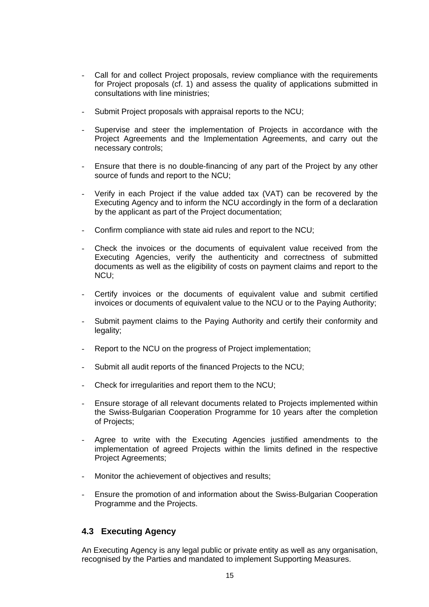- Call for and collect Project proposals, review compliance with the requirements for Project proposals (cf. 1) and assess the quality of applications submitted in consultations with line ministries;
- Submit Project proposals with appraisal reports to the NCU;
- Supervise and steer the implementation of Projects in accordance with the Project Agreements and the Implementation Agreements, and carry out the necessary controls;
- Ensure that there is no double-financing of any part of the Project by any other source of funds and report to the NCU;
- Verify in each Project if the value added tax (VAT) can be recovered by the Executing Agency and to inform the NCU accordingly in the form of a declaration by the applicant as part of the Project documentation;
- Confirm compliance with state aid rules and report to the NCU;
- Check the invoices or the documents of equivalent value received from the Executing Agencies, verify the authenticity and correctness of submitted documents as well as the eligibility of costs on payment claims and report to the NCU;
- Certify invoices or the documents of equivalent value and submit certified invoices or documents of equivalent value to the NCU or to the Paying Authority;
- Submit payment claims to the Paying Authority and certify their conformity and legality;
- Report to the NCU on the progress of Project implementation;
- Submit all audit reports of the financed Projects to the NCU;
- Check for irregularities and report them to the NCU;
- Ensure storage of all relevant documents related to Projects implemented within the Swiss-Bulgarian Cooperation Programme for 10 years after the completion of Projects;
- Agree to write with the Executing Agencies justified amendments to the implementation of agreed Projects within the limits defined in the respective Project Agreements;
- Monitor the achievement of objectives and results;
- Ensure the promotion of and information about the Swiss-Bulgarian Cooperation Programme and the Projects.

#### **4.3 Executing Agency**

An Executing Agency is any legal public or private entity as well as any organisation, recognised by the Parties and mandated to implement Supporting Measures.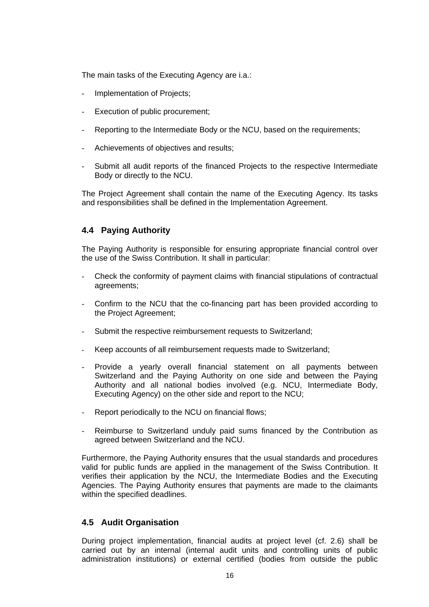The main tasks of the Executing Agency are i.a.:

- Implementation of Projects;
- Execution of public procurement:
- Reporting to the Intermediate Body or the NCU, based on the requirements;
- Achievements of objectives and results;
- Submit all audit reports of the financed Projects to the respective Intermediate Body or directly to the NCU.

The Project Agreement shall contain the name of the Executing Agency. Its tasks and responsibilities shall be defined in the Implementation Agreement.

#### **4.4 Paying Authority**

The Paying Authority is responsible for ensuring appropriate financial control over the use of the Swiss Contribution. It shall in particular:

- Check the conformity of payment claims with financial stipulations of contractual agreements;
- Confirm to the NCU that the co-financing part has been provided according to the Project Agreement;
- Submit the respective reimbursement requests to Switzerland;
- Keep accounts of all reimbursement requests made to Switzerland;
- Provide a yearly overall financial statement on all payments between Switzerland and the Paying Authority on one side and between the Paying Authority and all national bodies involved (e.g. NCU, Intermediate Body, Executing Agency) on the other side and report to the NCU;
- Report periodically to the NCU on financial flows;
- Reimburse to Switzerland unduly paid sums financed by the Contribution as agreed between Switzerland and the NCU.

Furthermore, the Paying Authority ensures that the usual standards and procedures valid for public funds are applied in the management of the Swiss Contribution. It verifies their application by the NCU, the Intermediate Bodies and the Executing Agencies. The Paying Authority ensures that payments are made to the claimants within the specified deadlines.

#### **4.5 Audit Organisation**

During project implementation, financial audits at project level (cf. 2.6) shall be carried out by an internal (internal audit units and controlling units of public administration institutions) or external certified (bodies from outside the public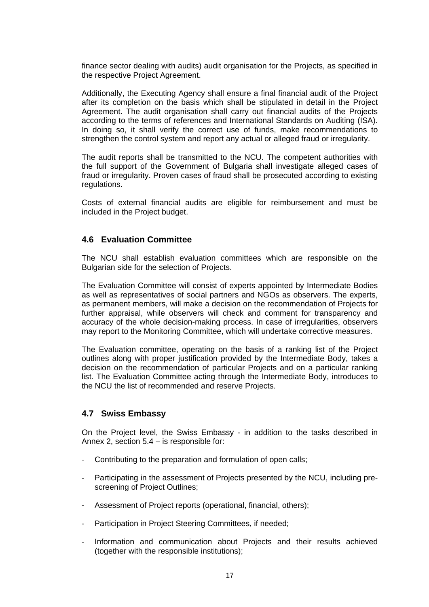finance sector dealing with audits) audit organisation for the Projects, as specified in the respective Project Agreement.

Additionally, the Executing Agency shall ensure a final financial audit of the Project after its completion on the basis which shall be stipulated in detail in the Project Agreement. The audit organisation shall carry out financial audits of the Projects according to the terms of references and International Standards on Auditing (ISA). In doing so, it shall verify the correct use of funds, make recommendations to strengthen the control system and report any actual or alleged fraud or irregularity.

The audit reports shall be transmitted to the NCU. The competent authorities with the full support of the Government of Bulgaria shall investigate alleged cases of fraud or irregularity. Proven cases of fraud shall be prosecuted according to existing regulations.

Costs of external financial audits are eligible for reimbursement and must be included in the Project budget.

#### **4.6 Evaluation Committee**

The NCU shall establish evaluation committees which are responsible on the Bulgarian side for the selection of Projects.

The Evaluation Committee will consist of experts appointed by Intermediate Bodies as well as representatives of social partners and NGOs as observers. The experts, as permanent members, will make a decision on the recommendation of Projects for further appraisal, while observers will check and comment for transparency and accuracy of the whole decision-making process. In case of irregularities, observers may report to the Monitoring Committee, which will undertake corrective measures.

The Evaluation committee, operating on the basis of a ranking list of the Project outlines along with proper justification provided by the Intermediate Body, takes a decision on the recommendation of particular Projects and on a particular ranking list. The Evaluation Committee acting through the Intermediate Body, introduces to the NCU the list of recommended and reserve Projects.

#### **4.7 Swiss Embassy**

On the Project level, the Swiss Embassy - in addition to the tasks described in Annex 2, section 5.4 – is responsible for:

- Contributing to the preparation and formulation of open calls;
- Participating in the assessment of Projects presented by the NCU, including prescreening of Project Outlines;
- Assessment of Project reports (operational, financial, others);
- Participation in Project Steering Committees, if needed;
- Information and communication about Projects and their results achieved (together with the responsible institutions);